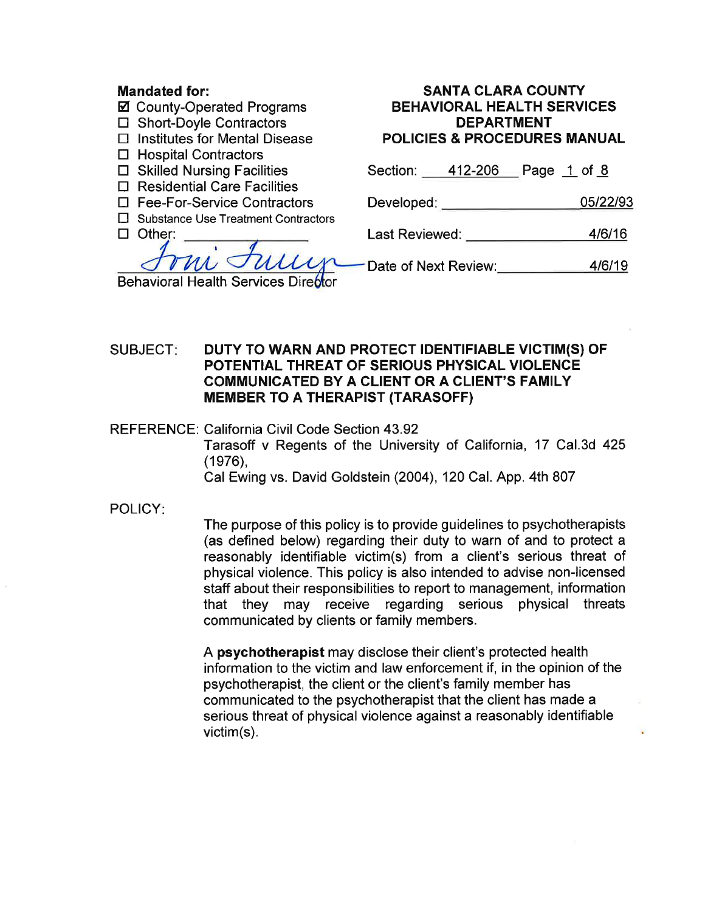## Mandated for:

- Ø County-Operated Programs
- $\Box$  Short-Doyle Contractors
- $\Box$  Institutes for Mental Disease
- $\Box$  Hospital Contractors
- $\Box$  Skilled Nursing Facilities
- $\Box$  Residential Care Facilities
- $\Box$  Fee-For-Service Contractors
- □ Substance Use Treatment Contractors
- $\Box$  Other:

 $\mathcal{U} \mathcal{N}$ Behavioral Health Services Dire<mark>ót</mark>or

#### SANTA CLARA COUNTY BEHAVIORAL HEALTH SERVICES DEPARTMENT POLICIES & PROCEDURES MANUAL

Section: 412-206 Page 1 of 8

| 05/22/93 |
|----------|
|          |

Last Reviewed: 4/6/16

Date of Next Review: 4/6/19

# SUBJECT: DUTY TO WARN AND PROTECT IDENTIFIABLE VICTIM(S) OF POTENTIAL THREAT OF SERIOUS PHYSICAL VIOLENCE COMMUNICATED BY A CLIENT OR A CLIENT'S FAMILY MEMBER TO A THERAPIST (TARASOFF)

REFERENCE: California Civil Code Section 43.92 Tarasoff v Regents of the University of California, 17 Cal.3d 425  $(1976)$ , Cal Ewing vs. David Goldstein (2004), 120 CaL App. 4th 807

POLICY:

The purpose of this policy is to provide guidelines to psychotherapists (as defined below) regarding their duty to warn of and to protect a reasonably identifiable victim(s) from a client's serious threat of physical violence. This policy is also intended to advise non-licensed staff about their responsibilities to report to management, information that they may receive regarding serious physical threats communicated by clients or family members.

A psychotherapist may disclose their client's protected health information to the victim and law enforcement if, in the opinion of the psychotherapist, the client or the client's family member has communicated to the psychotherapist that the client has made a serious threat of physical violence against a reasonably identifiable victim(s).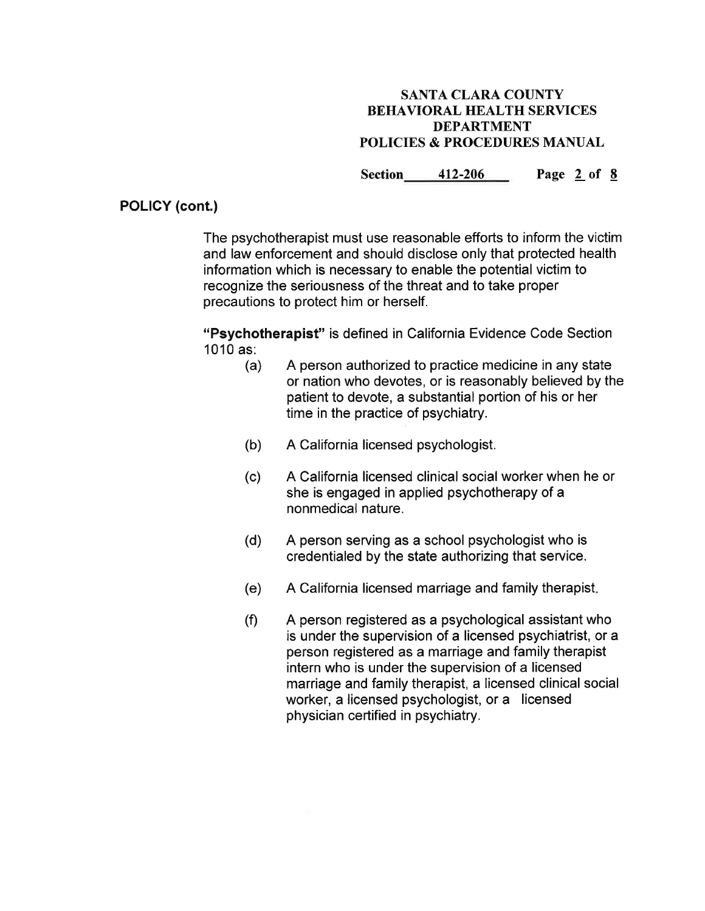Section 412-206 Page 2 of 8

## POLICY (cont.)

The psychotherapist must use reasonable efforts to inform the victim and law enforcement and should disclose only that protected health information which is necessary to enable the potential victim to recognize the seriousness of the threat and to take proper precautions to protect him or herself.

"Psychotherapist" is defined in California Evidence Code Section<br>1010 as:

- $10<sub>1</sub>$  A person authorized to practice medicine in any state or nation who devotes, or is reasonably believed by the patient to devote, a substantial portion of his or her time in the practice of psychiatry.
- (b) A California licensed psychologist.
- (c) A California licensed clinical social worker when he or she is engaged in applied psychotherapy of a nonmedical nature.
- (d) <sup>A</sup>person serving as a school psychologist who is credentialed by the state authorizing that service.
- (e) A California licensed marriage and family therapist
- $(f)$ A person registered as a psychological assistant who is under the supervision of a licensed psychiatrist, or a person registered as a marriage and family therapist intern who is under the supervision of a licensed marriage and family therapist, a licensed clinical social worker, a licensed psychologist, or a licensed physician certified in psychiatry.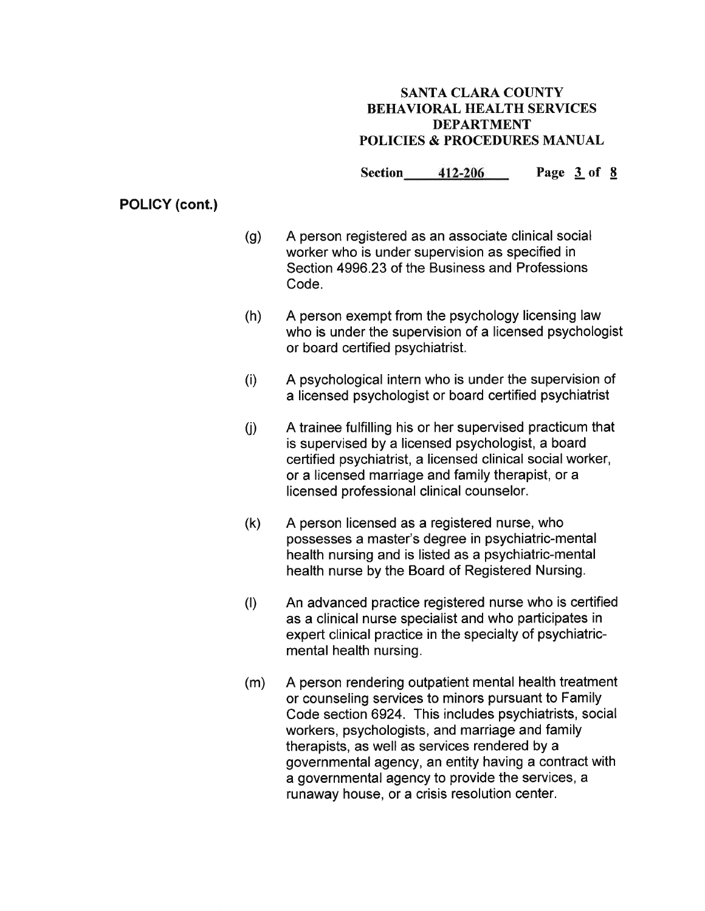Section 412-206 Page 3 of 8

# POLICY (cont.)

- A person registered as an associate clinical social worker who is under supervision as specified in Section 4996.23 of the Business and Professions Code. (g)
- (h) <sup>A</sup>person exempt from the psychology licensing law who is under the supervision of a licensed psychologist or board certified psychiatrist.
- (i) A psychological intern who is under the supervision of a licensed psychologist or board certified psychiatrist
- ú) A trainee fulfilling his or her supervised practicum that is supervised by a licensed psychologist, a board certified psychiatrist, a licensed clinical social worker, or a licensed marriage and family therapist, or a licensed professional clinical counselor.
- (k) A person licensed as a registered nurse, who possesses a master's degree in psychiatric-mental health nursing and is listed as a psychiatric-mental health nurse by the Board of Registered Nursing.
- (t) An advanced practice registered nurse who is certified as a clinical nurse specialist and who participates in expert clinical practice in the specialty of psychiatricmental health nursing.
- (m) A person rendering outpatient mental health treatment or counseling services to minors pursuant to Family Code section 6924. This includes psychiatrists, social workers, psychologists, and marriage and family therapists, as well as services rendered by a governmental agency, an entity having a contract with a governmental agency to provide the services, a runaway house, or a crisis resolution center.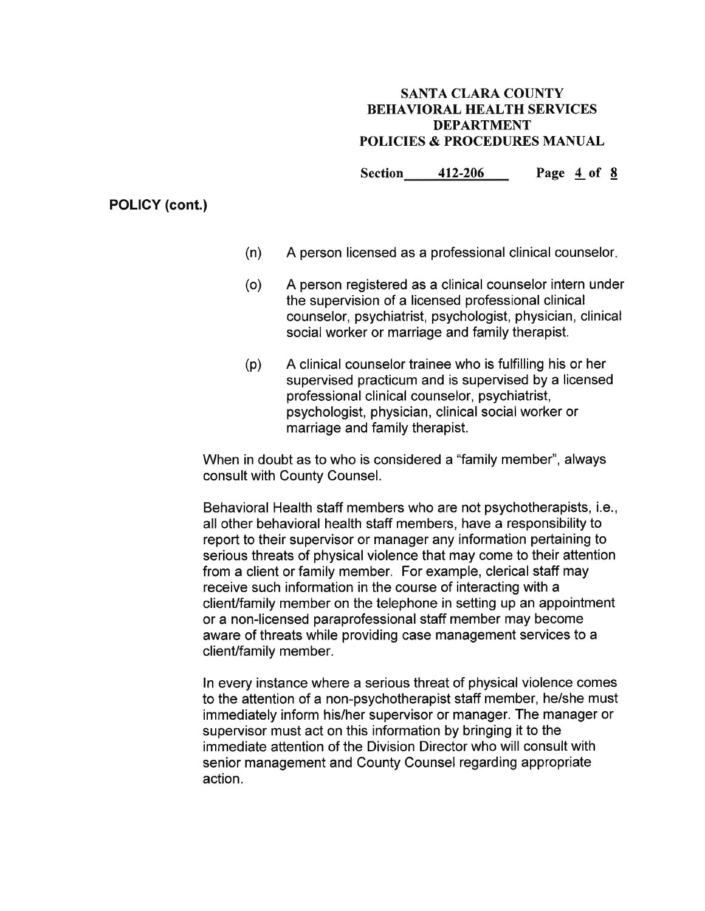Section 412-206 Page 4 of 8

## POLICY (cont.)

- (n) A person licensed as a professional clinical counselor
- (o) A person registered as a clinical counselor intern under the supervision of a licensed professional clinical counselor, psychiatrist, psychologist, physician, clinical social worker or marriage and family therapist.
- (p) A clinical counselor trainee who is fulfilling his or her supervised practicum and is supervised by a licensed professional clinical counselor, psychiatrist, psychologist, physician, clinical social worker or marriage and family therapist.

When in doubt as to who is considered a "family member", always consult with County Counsel.

Behavioral Health staff members who are not psychotherapists, i.e., all other behavioral health staff members, have a responsibility to report to their supervisor or manager any information pertaining to serious threats of physical violence that may come to their attention from a client or family member. For example, clerical staff may receive such information in the course of interacting with a client/family member on the telephone in setting up an appointment or a non-licensed paraprofessional staff member may become aware of threats while providing case management services to a client/family member.

ln every instance where a serious threat of physical violence comes to the attention of a non-psychotherapist staff member, he/she must immediately inform his/her supervisor or manager. The manager or supervisor must act on this information by bringing it to the immediate attention of the Division Director who will consult with senior management and County Counsel regarding appropriate action.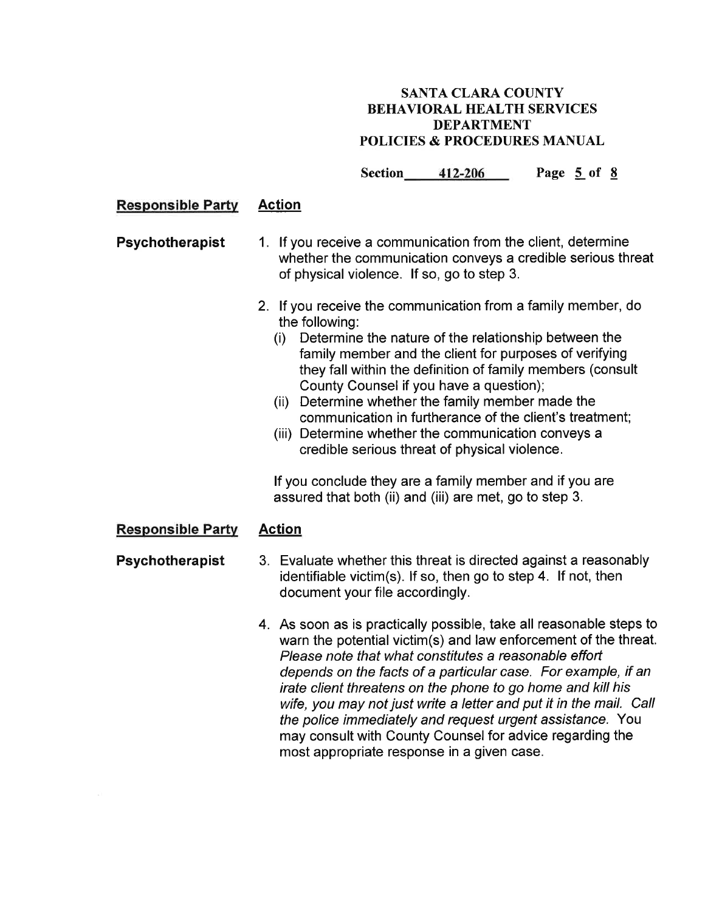Section 412-206 Page 5 of 8

## Responsible Partv Action

- Psychotherapist 1. lf you receive a communication from the client, determine whether the communication conveys a credible serious threat of physical violence. lf so, go to step 3.
	- 2. lf you receive the communication from a family member, do the following: (i) Determine the nature of the relationship between the
		- family member and the client for purposes of verifying they fall within the definition of family members (consult County Counsel if you have a question);
		- (ii) Determine whether the family member made the communication in furtherance of the client's treatment;
		- (iii) Determine whether the communication conveys a credible serious threat of physical violence.

lf you conclude they are a family member and if you are assured that both (ii) and (iii) are met, go to step 3.

#### Responsible Partv Action

- Psychotherapist 3. Evaluate whether this threat is directed against a reasonably identifiable victim(s). lf so, then go to step 4. lf not, then document your file accordingly.
	- 4. As soon as is practically possible, take all reasonable steps to warn the potential victim(s) and law enforcement of the threat. Please note that what constitutes a reasonable effort depends on the facts of a particular case. For example, if an irate client threatens on the phone to go home and kill his wife, you may not just write a letter and put it in the mail. Call the police immediately and request urgent assisfance. You may consult with County Counsel for advice regarding the most appropriate response in a given case.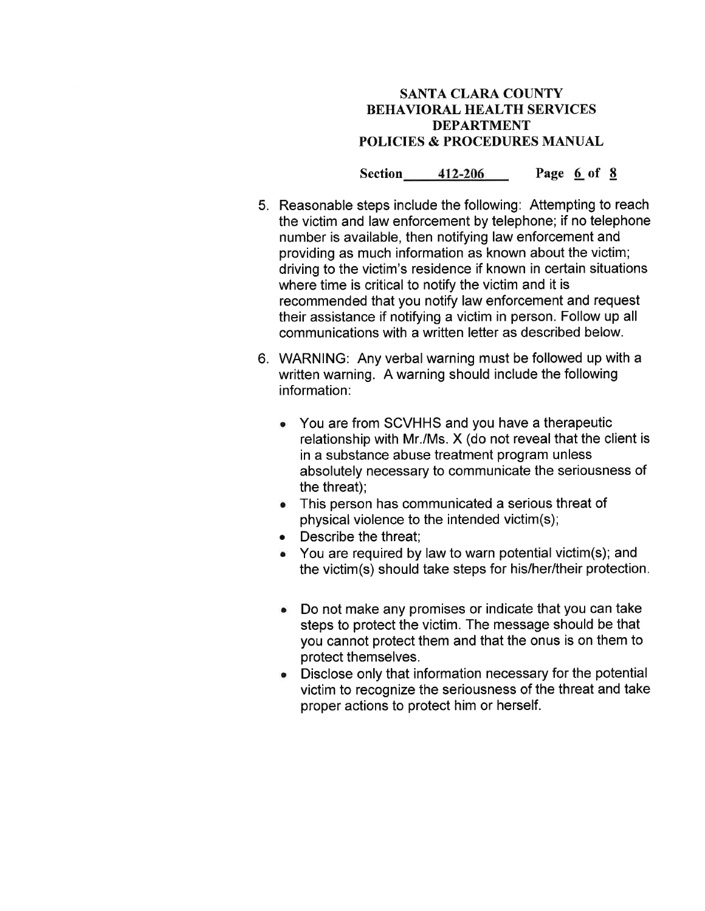Section 412-206 Page 6 of 8

- 5. Reasonable steps include the following: Attempting to reach the victim and law enforcement by telephone; if no telephone number is available, then notifying law enforcement and providing as much information as known about the victim; driving to the victim's residence if known in certain situations where time is critical to notify the victim and it is recommended that you notify law enforcement and request their assistance if notifying a victim in person. Follow up all communications with a written letter as described below.
- 6. WARNING: Any verbalwarning must be followed up with <sup>a</sup> written warning. A warning should include the following information:
	- o You are from SCVHHS and you have a therapeutic relationship with Mr./Ms. X (do not reveal that the client is in a substance abuse treatment program unless absolutely necessary to communicate the seriousness of the threat);
	- This person has communicated a serious threat of physical violence to the intended victim(s);
	- Describe the threat:
	- You are required by law to warn potential victim(s); and the victim(s) should take steps for his/her/their protection.
	- Do not make any promises or indicate that you can take steps to protect the victim. The message should be that you cannot protect them and that the onus is on them to protect themselves.
	- Disclose only that information necessary for the potential victim to recognize the seriousness of the threat and take proper actions to protect him or herself. a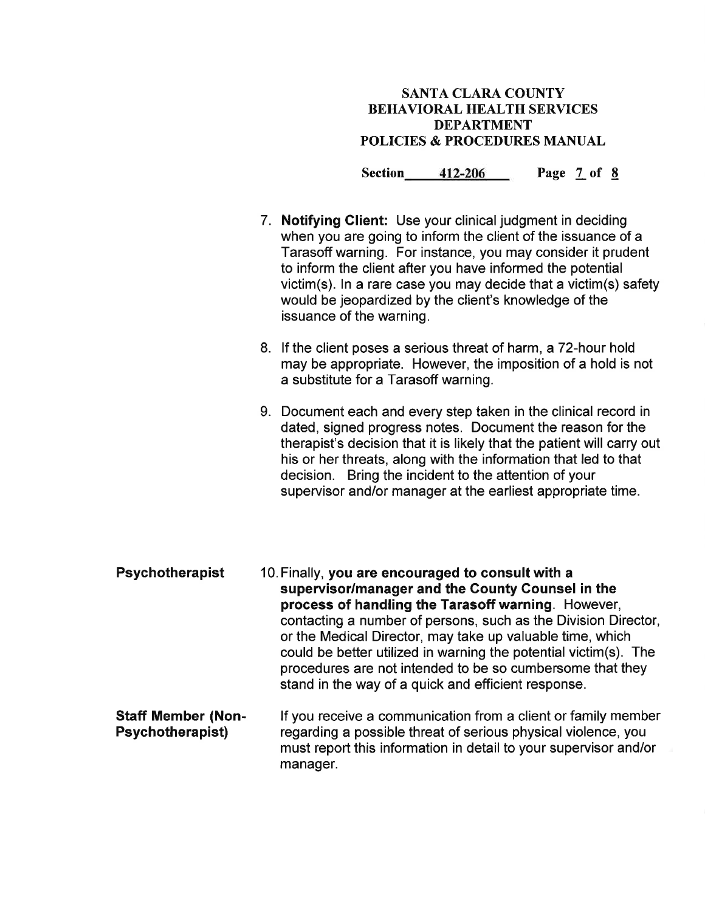Section 412-206 Page 7 of 8

- 7. Notifying Client: Use your clinical judgment in deciding when you are going to inform the client of the issuance of a Tarasoff warning. For instance, you may consider it prudent to inform the client after you have informed the potential victim(s). ln a rare case you may decide that a victim(s) safety would be jeopardized by the client's knowledge of the issuance of the warning.
- 8. lf the client poses a serious threat of harm, a 72-hour hold may be appropriate. However, the imposition of a hold is not a substitute for a Tarasoff warning.
- 9. Document each and every step taken in the clinical record in dated, signed progress notes. Document the reason for the therapist's decision that it is likely that the patient will carry out his or her threats, along with the information that led to that decision. Bring the incident to the attention of your supervisor and/or manager at the earliest appropriate time.

Psychotherapist 10. Finally, you are encouraged to consult with a supervisor/manager and the County Counsel in the process of handling the Tarasoff warning. However, contacting a number of persons, such as the Division Director, or the Medical Director, may take up valuable time, which could be better utilized in warning the potential victim(s). The procedures are not intended to be so cumbersome that they stand in the way of a quick and efficient response.

Staff Member (Non-Psychotherapist) lf you receive a communication from a client or family member regarding a possible threat of serious physical violence, you must report this information in detail to your supervisor and/or manager.